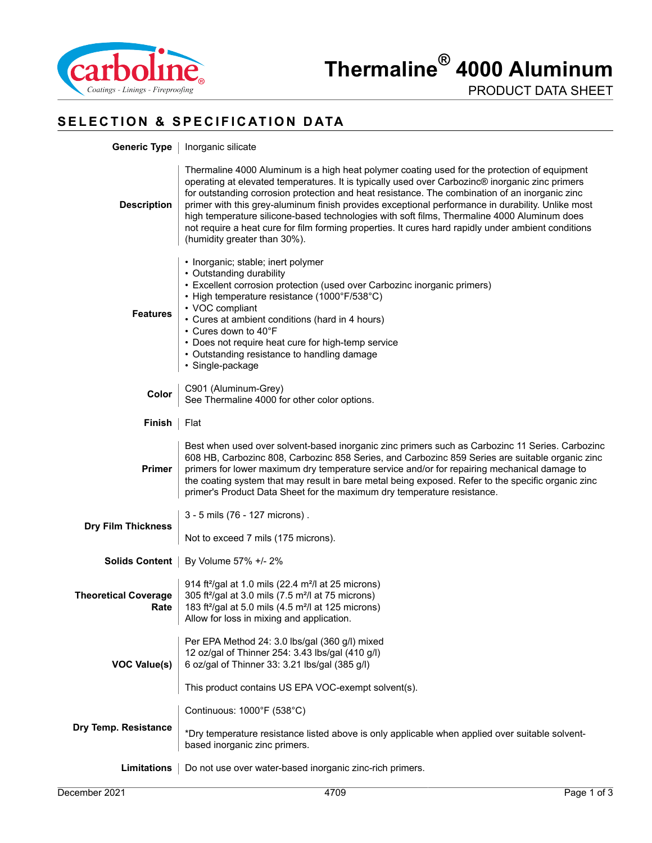

PRODUCT DATA SHEET

# **SELECTION & SPECIFICATION DATA**

| <b>Generic Type</b>                 | Inorganic silicate                                                                                                                                                                                                                                                                                                                                                                                                                                                                                                                                                                                                                           |
|-------------------------------------|----------------------------------------------------------------------------------------------------------------------------------------------------------------------------------------------------------------------------------------------------------------------------------------------------------------------------------------------------------------------------------------------------------------------------------------------------------------------------------------------------------------------------------------------------------------------------------------------------------------------------------------------|
| <b>Description</b>                  | Thermaline 4000 Aluminum is a high heat polymer coating used for the protection of equipment<br>operating at elevated temperatures. It is typically used over Carbozinc® inorganic zinc primers<br>for outstanding corrosion protection and heat resistance. The combination of an inorganic zinc<br>primer with this grey-aluminum finish provides exceptional performance in durability. Unlike most<br>high temperature silicone-based technologies with soft films, Thermaline 4000 Aluminum does<br>not require a heat cure for film forming properties. It cures hard rapidly under ambient conditions<br>(humidity greater than 30%). |
| <b>Features</b>                     | • Inorganic; stable; inert polymer<br>• Outstanding durability<br>• Excellent corrosion protection (used over Carbozinc inorganic primers)<br>• High temperature resistance (1000°F/538°C)<br>• VOC compliant<br>• Cures at ambient conditions (hard in 4 hours)<br>• Cures down to 40°F<br>• Does not require heat cure for high-temp service<br>• Outstanding resistance to handling damage<br>· Single-package                                                                                                                                                                                                                            |
| Color                               | C901 (Aluminum-Grey)<br>See Thermaline 4000 for other color options.                                                                                                                                                                                                                                                                                                                                                                                                                                                                                                                                                                         |
| Finish                              | Flat                                                                                                                                                                                                                                                                                                                                                                                                                                                                                                                                                                                                                                         |
| <b>Primer</b>                       | Best when used over solvent-based inorganic zinc primers such as Carbozinc 11 Series. Carbozinc<br>608 HB, Carbozinc 808, Carbozinc 858 Series, and Carbozinc 859 Series are suitable organic zinc<br>primers for lower maximum dry temperature service and/or for repairing mechanical damage to<br>the coating system that may result in bare metal being exposed. Refer to the specific organic zinc<br>primer's Product Data Sheet for the maximum dry temperature resistance.                                                                                                                                                           |
|                                     | 3 - 5 mils (76 - 127 microns).                                                                                                                                                                                                                                                                                                                                                                                                                                                                                                                                                                                                               |
| <b>Dry Film Thickness</b>           | Not to exceed 7 mils (175 microns).                                                                                                                                                                                                                                                                                                                                                                                                                                                                                                                                                                                                          |
| <b>Solids Content</b>               | By Volume 57% +/- 2%                                                                                                                                                                                                                                                                                                                                                                                                                                                                                                                                                                                                                         |
| <b>Theoretical Coverage</b><br>Rate | 914 ft <sup>2</sup> /gal at 1.0 mils (22.4 m <sup>2</sup> /l at 25 microns)<br>305 ft <sup>2</sup> /gal at 3.0 mils (7.5 m <sup>2</sup> /l at 75 microns)<br>183 ft <sup>2</sup> /gal at 5.0 mils (4.5 m <sup>2</sup> /l at 125 microns)<br>Allow for loss in mixing and application.                                                                                                                                                                                                                                                                                                                                                        |
| <b>VOC Value(s)</b>                 | Per EPA Method 24: 3.0 lbs/gal (360 g/l) mixed<br>12 oz/gal of Thinner 254: 3.43 lbs/gal (410 g/l)<br>6 oz/gal of Thinner 33: 3.21 lbs/gal (385 g/l)                                                                                                                                                                                                                                                                                                                                                                                                                                                                                         |
|                                     | This product contains US EPA VOC-exempt solvent(s).                                                                                                                                                                                                                                                                                                                                                                                                                                                                                                                                                                                          |
| Dry Temp. Resistance                | Continuous: 1000°F (538°C)                                                                                                                                                                                                                                                                                                                                                                                                                                                                                                                                                                                                                   |
|                                     | *Dry temperature resistance listed above is only applicable when applied over suitable solvent-<br>based inorganic zinc primers.                                                                                                                                                                                                                                                                                                                                                                                                                                                                                                             |
| <b>Limitations</b>                  | Do not use over water-based inorganic zinc-rich primers.                                                                                                                                                                                                                                                                                                                                                                                                                                                                                                                                                                                     |

**Dry**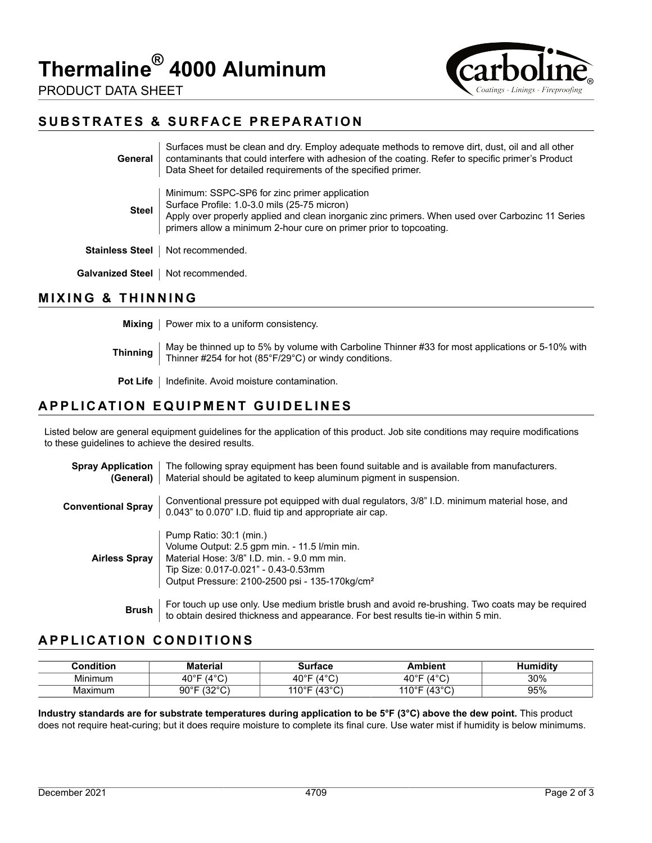# **Thermaline® 4000 Aluminum**



PRODUCT DATA SHEET

### **SUBSTRATES & SURFACE PREPARATION**

| General                | Surfaces must be clean and dry. Employ adequate methods to remove dirt, dust, oil and all other<br>contaminants that could interfere with adhesion of the coating. Refer to specific primer's Product<br>Data Sheet for detailed requirements of the specified primer.  |
|------------------------|-------------------------------------------------------------------------------------------------------------------------------------------------------------------------------------------------------------------------------------------------------------------------|
| <b>Steel</b>           | Minimum: SSPC-SP6 for zinc primer application<br>Surface Profile: 1.0-3.0 mils (25-75 micron)<br>Apply over properly applied and clean inorganic zinc primers. When used over Carbozinc 11 Series<br>primers allow a minimum 2-hour cure on primer prior to topcoating. |
| <b>Stainless Steel</b> | Not recommended.                                                                                                                                                                                                                                                        |
| Galvanized Steel       | Not recommended.                                                                                                                                                                                                                                                        |

#### **MIXING & THINNING**

**Mixing** Power mix to a uniform consistency. **Thinning** May be thinned up to 5% by volume with Carboline Thinner #33 for most applications or 5-10% with  $\frac{1}{\sqrt{1-\frac{1}{n}}}\int_{0}^{\frac{1}{n}}\frac{1}{\sqrt{1-\frac{1}{n}}}\frac{1}{\sqrt{1-\frac{1}{n}}}\frac{1}{\sqrt{1-\frac{1}{n}}}\frac{1}{\sqrt{1-\frac{1}{n}}}\frac{1}{\sqrt{1-\frac{1}{n}}}\frac{$ Thinner #254 for hot (85°F/29°C) or windy conditions. **Pot Life** | Indefinite. Avoid moisture contamination.

#### **APPLICATION EQUIPMENT GUIDELINES**

Listed below are general equipment guidelines for the application of this product. Job site conditions may require modifications to these guidelines to achieve the desired results.

| <b>Spray Application</b><br>(General) | The following spray equipment has been found suitable and is available from manufacturers.<br>Material should be agitated to keep aluminum pigment in suspension.                                                             |
|---------------------------------------|-------------------------------------------------------------------------------------------------------------------------------------------------------------------------------------------------------------------------------|
| <b>Conventional Spray</b>             | Conventional pressure pot equipped with dual regulators, 3/8" I.D. minimum material hose, and<br>0.043" to 0.070" I.D. fluid tip and appropriate air cap.                                                                     |
| <b>Airless Spray</b>                  | Pump Ratio: 30:1 (min.)<br>Volume Output: 2.5 gpm min. - 11.5 l/min min.<br>Material Hose: 3/8" I.D. min. - 9.0 mm min.<br>Tip Size: 0.017-0.021" - 0.43-0.53mm<br>Output Pressure: 2100-2500 psi - 135-170kg/cm <sup>2</sup> |
| <b>Brush</b>                          | For touch up use only. Use medium bristle brush and avoid re-brushing. Two coats may be required<br>to obtain desired thickness and appearance. For best results tie-in within 5 min.                                         |

## **APPLICATION CONDITIONS**

| $:$ ondition. | ateria                        | Surtace                        | Ambient                      | Humidity |
|---------------|-------------------------------|--------------------------------|------------------------------|----------|
| .<br>Mınımum  | ′∆°∩<br>$40^{\circ}$ F        | 10 <sub>O</sub><br>⊿∩°F        | ′⊿°∩<br>$40^{\circ}$ F<br>ΩV | 30%      |
| Maximum       | 10000<br>റ∩∘⊏<br>ັບ<br>U<br>ັ | 1000<br>110° <sup>⊢</sup><br>◡ | ∴∩∘ດ∿<br>110°F<br>َ ب        | 95%      |

**Industry standards are for substrate temperatures during application to be 5°F (3°C) above the dew point.** This product does not require heat-curing; but it does require moisture to complete its final cure. Use water mist if humidity is below minimums.